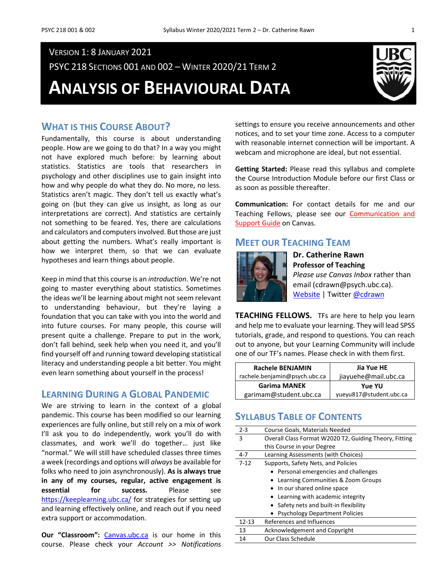## VERSION 1: 8 JANUARY 2021

PSYC 218 SECTIONS 001 AND 002 – WINTER 2020/21 TERM 2

**ANALYSIS OF BEHAVIOURAL DATA**



## **WHAT IS THIS COURSE ABOUT?**

Fundamentally, this course is about understanding people. How are we going to do that? In a way you might not have explored much before: by learning about statistics. Statistics are tools that researchers in psychology and other disciplines use to gain insight into how and why people do what they do. No more, no less. Statistics aren't magic. They don't tell us exactly what's going on (but they can give us insight, as long as our interpretations are correct). And statistics are certainly not something to be feared. Yes, there are calculations and calculators and computers involved. But those are just about getting the numbers. What's really important is how we interpret them, so that we can evaluate hypotheses and learn things about people.

Keep in mind that this course is an *introduction*. We're not going to master everything about statistics. Sometimes the ideas we'll be learning about might not seem relevant to understanding behaviour, but they're laying a foundation that you can take with you into the world and into future courses. For many people, this course will present quite a challenge. Prepare to put in the work, don't fall behind, seek help when you need it, and you'll find yourself off and running toward developing statistical literacy and understanding people a bit better. You might even learn something about yourself in the process!

## **LEARNING DURING A GLOBAL PANDEMIC**

We are striving to learn in the context of a global pandemic. This course has been modified so our learning experiences are fully online, but still rely on a mix of work I'll ask you to do independently, work you'll do with classmates, and work we'll do together… just like "normal." We will still have scheduled classes three times a week (recordings and options will *always* be available for folks who need to join asynchronously). **As is always true in any of my courses, regular, active engagement is essential for success.** Please see <https://keeplearning.ubc.ca/> for strategies for setting up and learning effectively online, and reach out if you need extra support or accommodation.

Our "Classroom": [Canvas.ubc.ca](https://canvas.ubc.ca/) is our home in this course. Please check your *Account >> Notifications* settings to ensure you receive announcements and other notices, and to set your time zone. Access to a computer with reasonable internet connection will be important. A webcam and microphone are ideal, but not essential.

**Getting Started:** Please read this syllabus and complete the Course Introduction Module before our first Class or as soon as possible thereafter.

**Communication:** For contact details for me and our Teaching Fellows, please see our [Communication and](https://canvas.ubc.ca/courses/61325/pages/communication-and-support-guide?module_item_id=2581980)  [Support Guide](https://canvas.ubc.ca/courses/61325/pages/communication-and-support-guide?module_item_id=2581980) on Canvas.

## **MEET OUR TEACHING TEAM**



**Dr. Catherine Rawn Professor of Teaching** *Please use Canvas Inbox* rather than email (cdrawn@psych.ubc.ca). [Website](http://blogs.ubc.ca/catherinerawn/) | Twitte[r @cdrawn](https://twitter.com/cdrawn)

**TEACHING FELLOWS.** TFs are here to help you learn and help me to evaluate your learning. They will lead SPSS tutorials, grade, and respond to questions. You can reach out to anyone, but your Learning Community will include one of our TF's names. Please check in with them first.

| <b>Rachele BENJAMIN</b>       | Jia Yue HE              |  |  |
|-------------------------------|-------------------------|--|--|
| rachele.benjamin@psych.ubc.ca | jiayuehe@mail.ubc.ca    |  |  |
| <b>Garima MANEK</b>           | <b>Yue YU</b>           |  |  |
| garimam@student.ubc.ca        | yueyu817@student.ubc.ca |  |  |

## **SYLLABUS TABLE OF CONTENTS**

| $2 - 3$   | Course Goals, Materials Needed                         |  |  |
|-----------|--------------------------------------------------------|--|--|
| 3         | Overall Class Format W2020 T2, Guiding Theory, Fitting |  |  |
|           | this Course in your Degree                             |  |  |
| 4-7       | Learning Assessments (with Choices)                    |  |  |
| $7 - 12$  | Supports, Safety Nets, and Policies                    |  |  |
|           | • Personal emergencies and challenges                  |  |  |
|           | Learning Communities & Zoom Groups                     |  |  |
|           | • In our shared online space                           |  |  |
|           | • Learning with academic integrity                     |  |  |
|           | • Safety nets and built-in flexibility                 |  |  |
|           | <b>Psychology Department Policies</b>                  |  |  |
| $12 - 13$ | References and Influences                              |  |  |
| 13        | <b>Acknowledgement and Copyright</b>                   |  |  |
| 14        | Our Class Schedule                                     |  |  |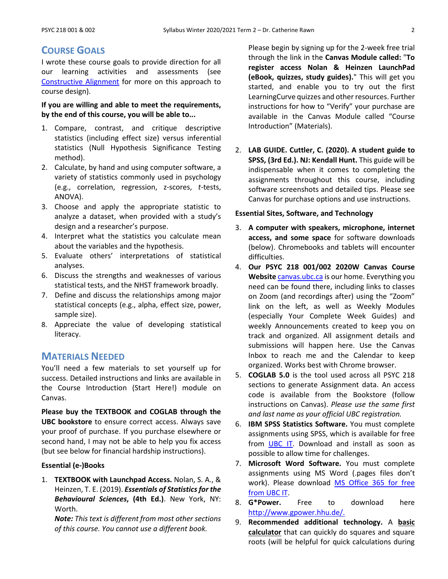## **COURSE GOALS**

I wrote these course goals to provide direction for all our learning activities and assessments (see [Constructive Alignment](https://youtu.be/3GegIMZLO24) for more on this approach to course design).

### **If you are willing and able to meet the requirements, by the end of this course, you will be able to...**

- 1. Compare, contrast, and critique descriptive statistics (including effect size) versus inferential statistics (Null Hypothesis Significance Testing method).
- 2. Calculate, by hand and using computer software, a variety of statistics commonly used in psychology (e.g., correlation, regression, z-scores, *t*-tests, ANOVA).
- 3. Choose and apply the appropriate statistic to analyze a dataset, when provided with a study's design and a researcher's purpose.
- 4. Interpret what the statistics you calculate mean about the variables and the hypothesis.
- 5. Evaluate others' interpretations of statistical analyses.
- 6. Discuss the strengths and weaknesses of various statistical tests, and the NHST framework broadly.
- 7. Define and discuss the relationships among major statistical concepts (e.g., alpha, effect size, power, sample size).
- 8. Appreciate the value of developing statistical literacy.

## **MATERIALS NEEDED**

You'll need a few materials to set yourself up for success. Detailed instructions and links are available in the Course Introduction (Start Here!) module on Canvas.

**Please buy the TEXTBOOK and COGLAB through the UBC bookstore** to ensure correct access. Always save your proof of purchase. If you purchase elsewhere or second hand, I may not be able to help you fix access (but see below for financial hardship instructions).

### **Essential (e-)Books**

1. **TEXTBOOK with Launchpad Access.** Nolan, S. A., & Heinzen, T. E. (2019). *Essentials of Statistics for the Behavioural Sciences***, (4th Ed.)**. New York, NY: Worth.

*Note: This text is different from most other sections of this course. You cannot use a different book.*

Please begin by signing up for the 2-week free trial through the link in the **Canvas Module called:** "**To register access Nolan & Heinzen LaunchPad (eBook, quizzes, study guides).**" This will get you started, and enable you to try out the first LearningCurve quizzes and other resources. Further instructions for how to "Verify" your purchase are available in the Canvas Module called "Course Introduction" (Materials).

2. **LAB GUIDE. Cuttler, C. (2020). A student guide to SPSS, (3rd Ed.). NJ: Kendall Hunt.** This guide will be indispensable when it comes to completing the assignments throughout this course, including software screenshots and detailed tips. Please see Canvas for purchase options and use instructions.

### **Essential Sites, Software, and Technology**

- 3. **A computer with speakers, microphone, internet access, and some space** for software downloads (below). Chromebooks and tablets will encounter difficulties.
- 4. **Our PSYC 218 001/002 2020W Canvas Course Website** [canvas.ubc.ca](https://canvas.ubc.ca/) is our home. Everything you need can be found there, including links to classes on Zoom (and recordings after) using the "Zoom" link on the left, as well as Weekly Modules (especially Your Complete Week Guides) and weekly Announcements created to keep you on track and organized. All assignment details and submissions will happen here. Use the Canvas Inbox to reach me and the Calendar to keep organized. Works best with Chrome browser.
- 5. **COGLAB 5.0** is the tool used across all PSYC 218 sections to generate Assignment data. An access code is available from the Bookstore (follow instructions on Canvas). *Please use the same first and last name as your official UBC registration.*
- 6. **IBM SPSS Statistics Software.** You must complete assignments using SPSS, which is available for free from [UBC IT.](https://it.ubc.ca/services/desktop-print-services/software-licensing/spss) Download and install as soon as possible to allow time for challenges.
- 7. **Microsoft Word Software.** You must complete assignments using MS Word (.pages files don't work). Please download [MS Office 365 for free](https://it.ubc.ca/services/desktop-print-services/software-licensing/microsoft-365-students)  [from UBC IT.](https://it.ubc.ca/services/desktop-print-services/software-licensing/microsoft-365-students)
- 8. **G\*Power.** Free to download here [http://www.gpower.hhu.de/.](http://www.gpower.hhu.de/)
- 9. **Recommended additional technology.** A **basic calculator** that can quickly do squares and square roots (will be helpful for quick calculations during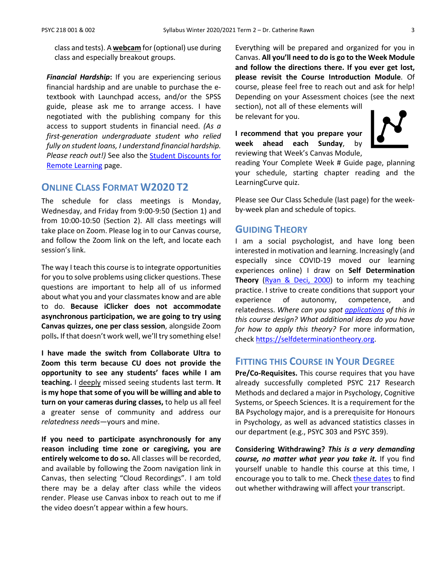class and tests). A **webcam** for (optional) use during class and especially breakout groups.

*Financial Hardship***:** If you are experiencing serious financial hardship and are unable to purchase the etextbook with Launchpad access, and/or the SPSS guide, please ask me to arrange access. I have negotiated with the publishing company for this access to support students in financial need. *(As a first-generation undergraduate student who relied fully on student loans, I understand financial hardship. Please reach out!)* See also the [Student Discounts for](https://it.ubc.ca/services/student-discounts-remote-learning)  [Remote Learning](https://it.ubc.ca/services/student-discounts-remote-learning) page.

## **ONLINE CLASS FORMAT W2020 T2**

The schedule for class meetings is Monday, Wednesday, and Friday from 9:00-9:50 (Section 1) and from 10:00-10:50 (Section 2). All class meetings will take place on Zoom. Please log in to our Canvas course, and follow the Zoom link on the left, and locate each session's link.

The way I teach this course is to integrate opportunities for you to solve problems using clicker questions. These questions are important to help all of us informed about what you and your classmates know and are able to do. **Because iClicker does not accommodate asynchronous participation, we are going to try using Canvas quizzes, one per class session**, alongside Zoom polls**.** If that doesn't work well, we'll try something else!

**I have made the switch from Collaborate Ultra to Zoom this term because CU does not provide the opportunity to see any students' faces while I am teaching.** I deeply missed seeing students last term. **It is my hope that some of you will be willing and able to turn on your cameras during classes,** to help us all feel a greater sense of community and address our *relatedness needs*—yours and mine.

**If you need to participate asynchronously for any reason including time zone or caregiving, you are entirely welcome to do so.** All classes will be recorded, and available by following the Zoom navigation link in Canvas, then selecting "Cloud Recordings". I am told there may be a delay after class while the videos render. Please use Canvas inbox to reach out to me if the video doesn't appear within a few hours.

Everything will be prepared and organized for you in Canvas. **All you'll need to do is go to the Week Module and follow the directions there. If you ever get lost, please revisit the Course Introduction Module**. Of course, please feel free to reach out and ask for help! Depending on your Assessment choices (see the next section), not all of these elements will

be relevant for you.

**I recommend that you prepare your week ahead each Sunday**, by reviewing that Week's Canvas Module,



reading Your Complete Week # Guide page, planning your schedule, starting chapter reading and the LearningCurve quiz.

Please see Our Class Schedule (last page) for the weekby-week plan and schedule of topics.

### **GUIDING THEORY**

I am a social psychologist, and have long been interested in motivation and learning. Increasingly (and especially since COVID-19 moved our learning experiences online) I draw on **Self Determination**  Theory [\(Ryan & Deci, 2000\)](https://psycnet.apa.org/record/2000-13324-007) to inform my teaching practice. I strive to create conditions that support your experience of autonomy, competence, and relatedness. *Where can you spot [applications](https://selfdeterminationtheory.org/application-education/) of this in this course design? What additional ideas do you have for how to apply this theory?* For more information, chec[k https://selfdeterminationtheory.org.](https://selfdeterminationtheory.org/)

## **FITTING THIS COURSE IN YOUR DEGREE**

**Pre/Co-Requisites.** This course requires that you have already successfully completed PSYC 217 Research Methods and declared a major in Psychology, Cognitive Systems, or Speech Sciences. It is a requirement for the BA Psychology major, and is a prerequisite for Honours in Psychology, as well as advanced statistics classes in our department (e.g., PSYC 303 and PSYC 359).

**Considering Withdrawing?** *This is a very demanding course, no matter what year you take it.* If you find yourself unable to handle this course at this time, I encourage you to talk to me. Check [these dates](http://www.calendar.ubc.ca/vancouver/index.cfm?page=deadlines) to find out whether withdrawing will affect your transcript.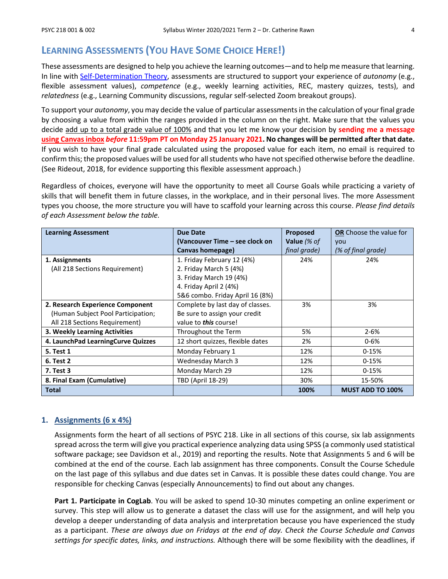# **LEARNING ASSESSMENTS (YOU HAVE SOME CHOICE HERE!)**

These assessments are designed to help you achieve the learning outcomes—and to help me measure that learning. In line with [Self-Determination Theory,](https://selfdeterminationtheory.org/application-education/) assessments are structured to support your experience of *autonomy* (e.g., flexible assessment values), *competence* (e.g., weekly learning activities, REC, mastery quizzes, tests), and *relatedness* (e.g., Learning Community discussions, regular self-selected Zoom breakout groups).

To support your *autonomy*, you may decide the value of particular assessments in the calculation of your final grade by choosing a value from within the ranges provided in the column on the right. Make sure that the values you decide add up to a total grade value of 100% and that you let me know your decision by **sending me a message using Canvas inbox** *before* **11:59pm PT on Monday 25 January 2021. No changes will be permitted after that date.** If you wish to have your final grade calculated using the proposed value for each item, no email is required to confirm this; the proposed values will be used for all students who have not specified otherwise before the deadline. (See Rideout, 2018, for evidence supporting this flexible assessment approach.)

Regardless of choices, everyone will have the opportunity to meet all Course Goals while practicing a variety of skills that will benefit them in future classes, in the workplace, and in their personal lives. The more Assessment types you choose, the more structure you will have to scaffold your learning across this course. *Please find details of each Assessment below the table.*

| <b>Learning Assessment</b>         | <b>Due Date</b>                  |              | <b>OR</b> Choose the value for |  |
|------------------------------------|----------------------------------|--------------|--------------------------------|--|
|                                    | (Vancouver Time – see clock on   | Value $% of$ | vou                            |  |
|                                    | Canvas homepage)                 | final grade) | (% of final grade)             |  |
| 1. Assignments                     | 1. Friday February 12 (4%)       | 24%          | 24%                            |  |
| (All 218 Sections Requirement)     | 2. Friday March 5 (4%)           |              |                                |  |
|                                    | 3. Friday March 19 (4%)          |              |                                |  |
|                                    | 4. Friday April 2 (4%)           |              |                                |  |
|                                    | 5&6 combo. Friday April 16 (8%)  |              |                                |  |
| 2. Research Experience Component   | Complete by last day of classes. | 3%           | 3%                             |  |
| (Human Subject Pool Participation; | Be sure to assign your credit    |              |                                |  |
| All 218 Sections Requirement)      | value to <b>this</b> course!     |              |                                |  |
| 3. Weekly Learning Activities      | Throughout the Term              | 5%           | $2 - 6%$                       |  |
| 4. LaunchPad LearningCurve Quizzes | 12 short quizzes, flexible dates | 2%           | $0 - 6%$                       |  |
| <b>5. Test 1</b>                   | Monday February 1                | 12%          | $0-15%$                        |  |
| <b>6. Test 2</b>                   | <b>Wednesday March 3</b>         | 12%          | $0-15%$                        |  |
| <b>7. Test 3</b>                   | Monday March 29                  | 12%          | $0-15%$                        |  |
| 8. Final Exam (Cumulative)         | TBD (April 18-29)                | 30%          | 15-50%                         |  |
| Total                              |                                  | 100%         | <b>MUST ADD TO 100%</b>        |  |

#### **1. Assignments (6 x 4%)**

Assignments form the heart of all sections of PSYC 218. Like in all sections of this course, six lab assignments spread across the term will give you practical experience analyzing data using SPSS (a commonly used statistical software package; see Davidson et al., 2019) and reporting the results. Note that Assignments 5 and 6 will be combined at the end of the course. Each lab assignment has three components. Consult the Course Schedule on the last page of this syllabus and due dates set in Canvas. It is possible these dates could change. You are responsible for checking Canvas (especially Announcements) to find out about any changes.

**Part 1. Participate in CogLab**. You will be asked to spend 10-30 minutes competing an online experiment or survey. This step will allow us to generate a dataset the class will use for the assignment, and will help you develop a deeper understanding of data analysis and interpretation because you have experienced the study as a participant. *These are always due on Fridays at the end of day. Check the Course Schedule and Canvas settings for specific dates, links, and instructions.* Although there will be some flexibility with the deadlines, if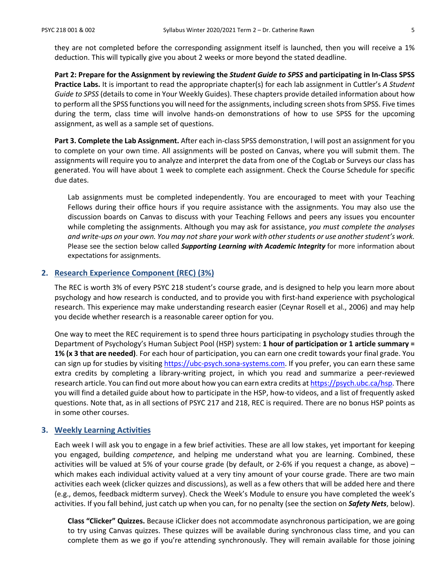they are not completed before the corresponding assignment itself is launched, then you will receive a 1% deduction. This will typically give you about 2 weeks or more beyond the stated deadline.

**Part 2: Prepare for the Assignment by reviewing the** *Student Guide to SPSS* **and participating in In-Class SPSS Practice Labs.** It is important to read the appropriate chapter(s) for each lab assignment in Cuttler's *A Student Guide to SPSS* (details to come in Your Weekly Guides). These chapters provide detailed information about how to perform all the SPSS functions you will need for the assignments, including screen shots from SPSS. Five times during the term, class time will involve hands-on demonstrations of how to use SPSS for the upcoming assignment, as well as a sample set of questions.

**Part 3. Complete the Lab Assignment.** After each in-class SPSS demonstration, I will post an assignment for you to complete on your own time. All assignments will be posted on Canvas, where you will submit them. The assignments will require you to analyze and interpret the data from one of the CogLab or Surveys our class has generated. You will have about 1 week to complete each assignment. Check the Course Schedule for specific due dates.

Lab assignments must be completed independently. You are encouraged to meet with your Teaching Fellows during their office hours if you require assistance with the assignments. You may also use the discussion boards on Canvas to discuss with your Teaching Fellows and peers any issues you encounter while completing the assignments. Although you may ask for assistance, *you must complete the analyses and write-ups on your own. You may not share your work with other students or use another student's work.*  Please see the section below called *Supporting Learning with Academic Integrity* for more information about expectations for assignments.

### **2. Research Experience Component (REC) (3%)**

The REC is worth 3% of every PSYC 218 student's course grade, and is designed to help you learn more about psychology and how research is conducted, and to provide you with first-hand experience with psychological research. This experience may make understanding research easier (Ceynar Rosell et al., 2006) and may help you decide whether research is a reasonable career option for you.

One way to meet the REC requirement is to spend three hours participating in psychology studies through the Department of Psychology's Human Subject Pool (HSP) system: **1 hour of participation or 1 article summary = 1% (x 3 that are needed)**. For each hour of participation, you can earn one credit towards your final grade. You can sign up for studies by visiting [https://ubc-psych.sona-systems.com.](https://ubc-psych.sona-systems.com/) If you prefer, you can earn these same extra credits by completing a library-writing project, in which you read and summarize a peer-reviewed research article. You can find out more about how you can earn extra credits a[t https://psych.ubc.ca/hsp.](https://psych.ubc.ca/hsp) There you will find a detailed guide about how to participate in the HSP, how-to videos, and a list of frequently asked questions. Note that, as in all sections of PSYC 217 and 218, REC is required. There are no bonus HSP points as in some other courses.

#### **3. Weekly Learning Activities**

Each week I will ask you to engage in a few brief activities. These are all low stakes, yet important for keeping you engaged, building *competence*, and helping me understand what you are learning. Combined, these activities will be valued at 5% of your course grade (by default, or 2-6% if you request a change, as above) – which makes each individual activity valued at a very tiny amount of your course grade. There are two main activities each week (clicker quizzes and discussions), as well as a few others that will be added here and there (e.g., demos, feedback midterm survey). Check the Week's Module to ensure you have completed the week's activities. If you fall behind, just catch up when you can, for no penalty (see the section on *Safety Nets*, below).

**Class "Clicker" Quizzes.** Because iClicker does not accommodate asynchronous participation, we are going to try using Canvas quizzes. These quizzes will be available during synchronous class time, and you can complete them as we go if you're attending synchronously. They will remain available for those joining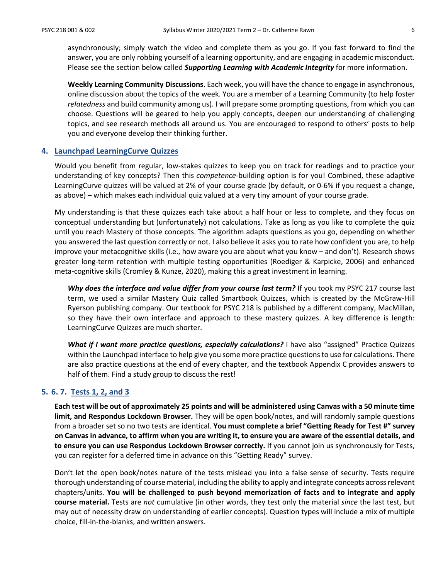asynchronously; simply watch the video and complete them as you go. If you fast forward to find the answer, you are only robbing yourself of a learning opportunity, and are engaging in academic misconduct. Please see the section below called *Supporting Learning with Academic Integrity* for more information.

**Weekly Learning Community Discussions.** Each week, you will have the chance to engage in asynchronous, online discussion about the topics of the week. You are a member of a Learning Community (to help foster *relatedness* and build community among us). I will prepare some prompting questions, from which you can choose. Questions will be geared to help you apply concepts, deepen our understanding of challenging topics, and see research methods all around us. You are encouraged to respond to others' posts to help you and everyone develop their thinking further.

#### **4. Launchpad LearningCurve Quizzes**

Would you benefit from regular, low-stakes quizzes to keep you on track for readings and to practice your understanding of key concepts? Then this *competence-*building option is for you! Combined, these adaptive LearningCurve quizzes will be valued at 2% of your course grade (by default, or 0-6% if you request a change, as above) – which makes each individual quiz valued at a very tiny amount of your course grade.

My understanding is that these quizzes each take about a half hour or less to complete, and they focus on conceptual understanding but (unfortunately) not calculations. Take as long as you like to complete the quiz until you reach Mastery of those concepts. The algorithm adapts questions as you go, depending on whether you answered the last question correctly or not. I also believe it asks you to rate how confident you are, to help improve your metacognitive skills (i.e., how aware you are about what you know – and don't). Research shows greater long-term retention with multiple testing opportunities (Roediger & Karpicke, 2006) and enhanced meta-cognitive skills (Cromley & Kunze, 2020), making this a great investment in learning.

Why does the interface and value differ from your course last term? If you took my PSYC 217 course last term, we used a similar Mastery Quiz called Smartbook Quizzes, which is created by the McGraw-Hill Ryerson publishing company. Our textbook for PSYC 218 is published by a different company, MacMillan, so they have their own interface and approach to these mastery quizzes. A key difference is length: LearningCurve Quizzes are much shorter.

*What if I want more practice questions, especially calculations?* I have also "assigned" Practice Quizzes within the Launchpad interface to help give you some more practice questions to use for calculations. There are also practice questions at the end of every chapter, and the textbook Appendix C provides answers to half of them. Find a study group to discuss the rest!

### **5. 6. 7. Tests 1, 2, and 3**

**Each test will be out of approximately 25 points and will be administered using Canvas with a 50 minute time limit, and Respondus Lockdown Browser.** They will be open book/notes, and will randomly sample questions from a broader set so no two tests are identical. **You must complete a brief "Getting Ready for Test #" survey on Canvas in advance, to affirm when you are writing it, to ensure you are aware of the essential details, and to ensure you can use Respondus Lockdown Browser correctly.** If you cannot join us synchronously for Tests, you can register for a deferred time in advance on this "Getting Ready" survey.

Don't let the open book/notes nature of the tests mislead you into a false sense of security. Tests require thorough understanding of course material, including the ability to apply and integrate concepts across relevant chapters/units. **You will be challenged to push beyond memorization of facts and to integrate and apply course material.** Tests are *not* cumulative (in other words, they test only the material *since* the last test, but may out of necessity draw on understanding of earlier concepts). Question types will include a mix of multiple choice, fill-in-the-blanks, and written answers.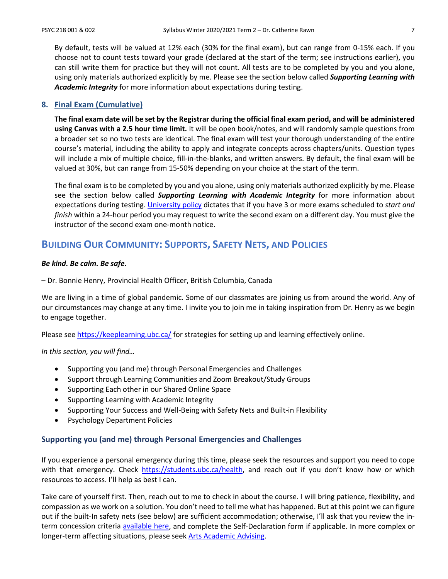By default, tests will be valued at 12% each (30% for the final exam), but can range from 0-15% each. If you choose not to count tests toward your grade (declared at the start of the term; see instructions earlier), you can still write them for practice but they will not count. All tests are to be completed by you and you alone, using only materials authorized explicitly by me. Please see the section below called *Supporting Learning with Academic Integrity* for more information about expectations during testing.

### **8. Final Exam (Cumulative)**

**The final exam date will be set by the Registrar during the official final exam period, and will be administered using Canvas with a 2.5 hour time limit.** It will be open book/notes, and will randomly sample questions from a broader set so no two tests are identical. The final exam will test your thorough understanding of the entire course's material, including the ability to apply and integrate concepts across chapters/units. Question types will include a mix of multiple choice, fill-in-the-blanks, and written answers. By default, the final exam will be valued at 30%, but can range from 15-50% depending on your choice at the start of the term.

The final exam is to be completed by you and you alone, using only materials authorized explicitly by me. Please see the section below called *Supporting Learning with Academic Integrity* for more information about expectations during testing. [University policy](http://www.calendar.ubc.ca/vancouver/index.cfm?tree=3,41,91,0) dictates that if you have 3 or more exams scheduled to *start and finish* within a 24-hour period you may request to write the second exam on a different day. You must give the instructor of the second exam one-month notice.

## **BUILDING OUR COMMUNITY: SUPPORTS, SAFETY NETS, AND POLICIES**

#### *Be kind. Be calm. Be safe***.**

– Dr. Bonnie Henry, Provincial Health Officer, British Columbia, Canada

We are living in a time of global pandemic. Some of our classmates are joining us from around the world. Any of our circumstances may change at any time. I invite you to join me in taking inspiration from Dr. Henry as we begin to engage together.

Please se[e https://keeplearning.ubc.ca/](https://keeplearning.ubc.ca/) for strategies for setting up and learning effectively online.

*In this section, you will find…*

- Supporting you (and me) through Personal Emergencies and Challenges
- Support through Learning Communities and Zoom Breakout/Study Groups
- Supporting Each other in our Shared Online Space
- Supporting Learning with Academic Integrity
- Supporting Your Success and Well-Being with Safety Nets and Built-in Flexibility
- Psychology Department Policies

#### **Supporting you (and me) through Personal Emergencies and Challenges**

If you experience a personal emergency during this time, please seek the resources and support you need to cope with that emergency. Check [https://students.ubc.ca/health,](https://students.ubc.ca/health) and reach out if you don't know how or which resources to access. I'll help as best I can.

Take care of yourself first. Then, reach out to me to check in about the course. I will bring patience, flexibility, and compassion as we work on a solution. You don't need to tell me what has happened. But at this point we can figure out if the built-In safety nets (see below) are sufficient accommodation; otherwise, I'll ask that you review the interm concession criteria [available here,](https://www.arts.ubc.ca/degree-planning/academic-performance/academic-concession/) and complete the Self-Declaration form if applicable. In more complex or longer-term affecting situations, please see[k Arts Academic Advising.](https://students.arts.ubc.ca/advising/contact-us/)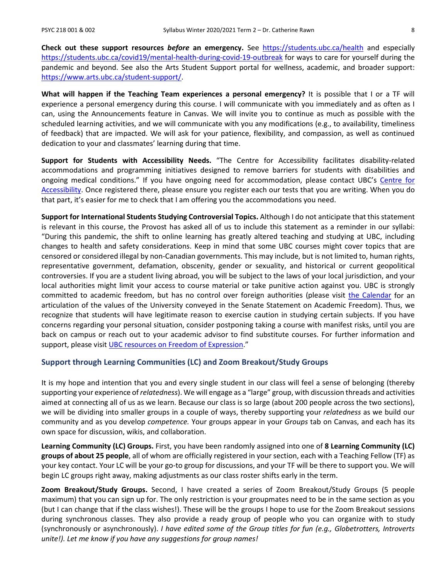**Check out these support resources** *before* **an emergency.** See <https://students.ubc.ca/health> and especially <https://students.ubc.ca/covid19/mental-health-during-covid-19-outbreak> for ways to care for yourself during the pandemic and beyond. See also the Arts Student Support portal for wellness, academic, and broader support: [https://www.arts.ubc.ca/student-support/.](https://www.arts.ubc.ca/student-support/)

**What will happen if the Teaching Team experiences a personal emergency?** It is possible that I or a TF will experience a personal emergency during this course. I will communicate with you immediately and as often as I can, using the Announcements feature in Canvas. We will invite you to continue as much as possible with the scheduled learning activities, and we will communicate with you any modifications (e.g., to availability, timeliness of feedback) that are impacted. We will ask for your patience, flexibility, and compassion, as well as continued dedication to your and classmates' learning during that time.

**Support for Students with Accessibility Needs.** "The Centre for Accessibility facilitates disability-related accommodations and programming initiatives designed to remove barriers for students with disabilities and ongoing medical conditions." If you have ongoing need for accommodation, please contact UBC's [Centre for](https://students.ubc.ca/about-student-services/centre-for-accessibility)  [Accessibility.](https://students.ubc.ca/about-student-services/centre-for-accessibility) Once registered there, please ensure you register each our tests that you are writing. When you do that part, it's easier for me to check that I am offering you the accommodations you need.

**Support for International Students Studying Controversial Topics.** Although I do not anticipate that this statement is relevant in this course, the Provost has asked all of us to include this statement as a reminder in our syllabi: "During this pandemic, the shift to online learning has greatly altered teaching and studying at UBC, including changes to health and safety considerations. Keep in mind that some UBC courses might cover topics that are censored or considered illegal by non-Canadian governments. This may include, but is not limited to, human rights, representative government, defamation, obscenity, gender or sexuality, and historical or current geopolitical controversies. If you are a student living abroad, you will be subject to the laws of your local jurisdiction, and your local authorities might limit your access to course material or take punitive action against you. UBC is strongly committed to academic freedom, but has no control over foreign authorities (please visit [the Calendar](http://www.calendar.ubc.ca/vancouver/index.cfm?tree=3,33,86,0) for an articulation of the values of the University conveyed in the Senate Statement on Academic Freedom). Thus, we recognize that students will have legitimate reason to exercise caution in studying certain subjects. If you have concerns regarding your personal situation, consider postponing taking a course with manifest risks, until you are back on campus or reach out to your academic advisor to find substitute courses. For further information and support, please visi[t UBC resources on Freedom of Expression.](http://academic.ubc.ca/support-resources/freedom-expression)"

#### **Support through Learning Communities (LC) and Zoom Breakout/Study Groups**

It is my hope and intention that you and every single student in our class will feel a sense of belonging (thereby supporting your experience of *relatedness*). We will engage as a "large" group, with discussion threads and activities aimed at connecting all of us as we learn. Because our class is so large (about 200 people across the two sections), we will be dividing into smaller groups in a couple of ways, thereby supporting your *relatedness* as we build our community and as you develop *competence.* Your groups appear in your *Groups* tab on Canvas, and each has its own space for discussion, wikis, and collaboration.

**Learning Community (LC) Groups.** First, you have been randomly assigned into one of **8 Learning Community (LC) groups of about 25 people**, all of whom are officially registered in your section, each with a Teaching Fellow (TF) as your key contact. Your LC will be your go-to group for discussions, and your TF will be there to support you. We will begin LC groups right away, making adjustments as our class roster shifts early in the term.

**Zoom Breakout/Study Groups.** Second, I have created a series of Zoom Breakout/Study Groups (5 people maximum) that you can sign up for. The only restriction is your groupmates need to be in the same section as you (but I can change that if the class wishes!). These will be the groups I hope to use for the Zoom Breakout sessions during synchronous classes. They also provide a ready group of people who you can organize with to study (synchronously or asynchronously). *I have edited some of the Group titles for fun (e.g., Globetrotters, Introverts unite!). Let me know if you have any suggestions for group names!*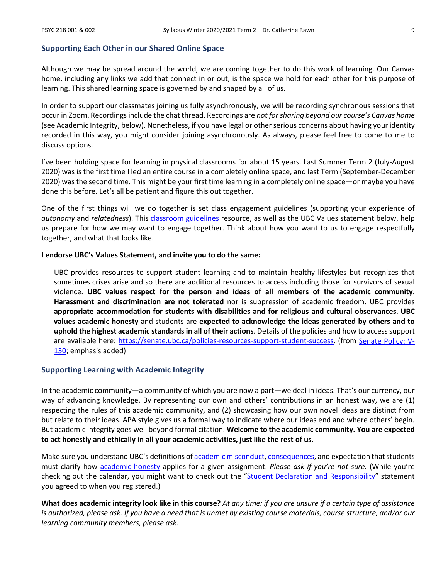#### **Supporting Each Other in our Shared Online Space**

Although we may be spread around the world, we are coming together to do this work of learning. Our Canvas home, including any links we add that connect in or out, is the space we hold for each other for this purpose of learning. This shared learning space is governed by and shaped by all of us.

In order to support our classmates joining us fully asynchronously, we will be recording synchronous sessions that occur in Zoom. Recordings include the chat thread. Recordings are *not for sharing beyond our course's Canvas home*  (see Academic Integrity, below). Nonetheless, if you have legal or other serious concerns about having your identity recorded in this way, you might consider joining asynchronously. As always, please feel free to come to me to discuss options.

I've been holding space for learning in physical classrooms for about 15 years. Last Summer Term 2 (July-August 2020) was is the first time I led an entire course in a completely online space, and last Term (September-December 2020) was the second time. This might be your first time learning in a completely online space—or maybe you have done this before. Let's all be patient and figure this out together.

One of the first things will we do together is set class engagement guidelines (supporting your experience of *autonomy* and *relatedness*). This [classroom guidelines](https://wiki.ubc.ca/Documentation:Inclusive_Teaching/Classroom_Guidelines) resource, as well as the UBC Values statement below, help us prepare for how we may want to engage together. Think about how you want to us to engage respectfully together, and what that looks like.

#### **I endorse UBC's Values Statement, and invite you to do the same:**

UBC provides resources to support student learning and to maintain healthy lifestyles but recognizes that sometimes crises arise and so there are additional resources to access including those for survivors of sexual violence. **UBC values respect for the person and ideas of all members of the academic community**. **Harassment and discrimination are not tolerated** nor is suppression of academic freedom. UBC provides **appropriate accommodation for students with disabilities and for religious and cultural observances**. **UBC values academic honesty** and students are **expected to acknowledge the ideas generated by others and to uphold the highest academic standards in all of their actions**. Details of the policies and how to access support are available here: [https://senate.ubc.ca/policies-resources-support-student-success.](https://senate.ubc.ca/policies-resources-support-student-success) (from [Senate Policy: V-](https://senate.ubc.ca/sites/senate.ubc.ca/files/downloads/Policy-20190207-V-130-Syllabus.pdf)[130;](https://senate.ubc.ca/sites/senate.ubc.ca/files/downloads/Policy-20190207-V-130-Syllabus.pdf) emphasis added)

### **Supporting Learning with Academic Integrity**

In the academic community—a community of which you are now a part—we deal in ideas. That's our currency, our way of advancing knowledge. By representing our own and others' contributions in an honest way, we are (1) respecting the rules of this academic community, and (2) showcasing how our own novel ideas are distinct from but relate to their ideas. APA style gives us a formal way to indicate where our ideas end and where others' begin. But academic integrity goes well beyond formal citation. **Welcome to the academic community. You are expected to act honestly and ethically in all your academic activities, just like the rest of us.**

Make sure you understand UBC's definitions o[f academic misconduct,](http://www.calendar.ubc.ca/Vancouver/index.cfm?tree=3,54,111,959) [consequences,](http://www.calendar.ubc.ca/Vancouver/index.cfm?tree=3,54,111,960) and expectation that students must clarify how [academic honesty](http://www.calendar.ubc.ca/Vancouver/index.cfm?tree=3,286,0,0) applies for a given assignment. *Please ask if you're not sure.* (While you're checking out the calendar, you might want to check out the ["Student Declaration and Responsibility"](http://www.calendar.ubc.ca/Vancouver/index.cfm?tree=3,285,0,0) statement you agreed to when you registered.)

**What does academic integrity look like in this course?** *At any time: if you are unsure if a certain type of assistance is authorized, please ask. If you have a need that is unmet by existing course materials, course structure, and/or our learning community members, please ask.*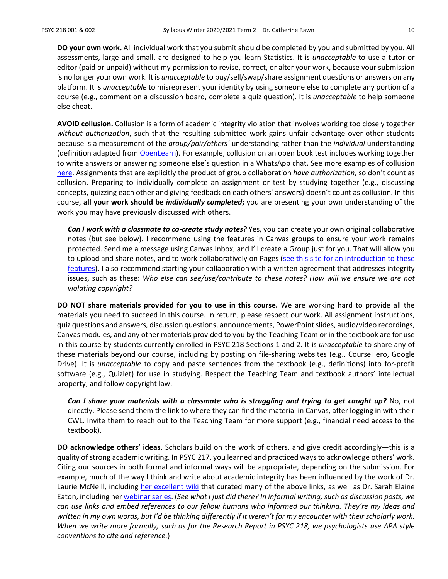**DO your own work.** All individual work that you submit should be completed by you and submitted by you. All assessments, large and small, are designed to help you learn Statistics. It is *unacceptable* to use a tutor or editor (paid or unpaid) without my permission to revise, correct, or alter your work, because your submission is no longer your own work. It is *unacceptable* to buy/sell/swap/share assignment questions or answers on any platform. It is *unacceptable* to misrepresent your identity by using someone else to complete any portion of a course (e.g., comment on a discussion board, complete a quiz question). It is *unacceptable* to help someone else cheat.

**AVOID collusion.** Collusion is a form of academic integrity violation that involves working too closely together *without authorization*, such that the resulting submitted work gains unfair advantage over other students because is a measurement of the *group/pair/others'* understanding rather than the *individual* understanding (definition adapted from [OpenLearn\)](https://www.open.edu/openlearn/education/educational-technology-and-practice/educational-practice/developing-good-academic-practice/content-section-3.2). For example, collusion on an open book test includes working together to write answers or answering someone else's question in a WhatsApp chat. See more examples of collusion [here.](https://www.open.edu/openlearn/education/educational-technology-and-practice/educational-practice/developing-good-academic-practice/content-section-3.2) Assignments that are explicitly the product of group collaboration *have authorization*, so don't count as collusion. Preparing to individually complete an assignment or test by studying together (e.g., discussing concepts, quizzing each other and giving feedback on each others' answers) doesn't count as collusion. In this course, **all your work should be** *individually completed***;** you are presenting your own understanding of the work you may have previously discussed with others.

*Can I work with a classmate to co-create study notes?* Yes, you can create your own original collaborative notes (but see below). I recommend using the features in Canvas groups to ensure your work remains protected. Send me a message using Canvas Inbox, and I'll create a Group just for you. That will allow you to upload and share notes, and to work collaboratively on Pages [\(see this site for an introduction to these](https://students.canvas.ubc.ca/navigating-canvas-groups/)  [features\)](https://students.canvas.ubc.ca/navigating-canvas-groups/). I also recommend starting your collaboration with a written agreement that addresses integrity issues, such as these: *Who else can see/use/contribute to these notes? How will we ensure we are not violating copyright?*

**DO NOT share materials provided for you to use in this course.** We are working hard to provide all the materials you need to succeed in this course. In return, please respect our work. All assignment instructions, quiz questions and answers, discussion questions, announcements, PowerPoint slides, audio/video recordings, Canvas modules, and any other materials provided to you by the Teaching Team or in the textbook are for use in this course by students currently enrolled in PSYC 218 Sections 1 and 2. It is *unacceptable* to share any of these materials beyond our course, including by posting on file-sharing websites (e.g., CourseHero, Google Drive). It is *unacceptable* to copy and paste sentences from the textbook (e.g., definitions) into for-profit software (e.g., Quizlet) for use in studying. Respect the Teaching Team and textbook authors' intellectual property, and follow copyright law.

*Can I share your materials with a classmate who is struggling and trying to get caught up?* **No, not** directly. Please send them the link to where they can find the material in Canvas, after logging in with their CWL. Invite them to reach out to the Teaching Team for more support (e.g., financial need access to the textbook).

**DO acknowledge others' ideas.** Scholars build on the work of others, and give credit accordingly—this is a quality of strong academic writing. In PSYC 217, you learned and practiced ways to acknowledge others' work. Citing our sources in both formal and informal ways will be appropriate, depending on the submission. For example, much of the way I think and write about academic integrity has been influenced by the work of Dr. Laurie McNeill, including [her excellent wiki](https://wiki.ubc.ca/Learning_Commons:Faculty_Resources/Academic_Integrity) that curated many of the above links, as well as Dr. Sarah Elaine Eaton, including he[r webinar series.](https://taylorinstitute.ucalgary.ca/series/academic-integrity-urgent-emerging-topics) (*See what I just did there? In informal writing, such as discussion posts, we can use links and embed references to our fellow humans who informed our thinking. They're my ideas and written in my own words, but I'd be thinking differently if it weren't for my encounter with their scholarly work. When we write more formally, such as for the Research Report in PSYC 218, we psychologists use APA style conventions to cite and reference.*)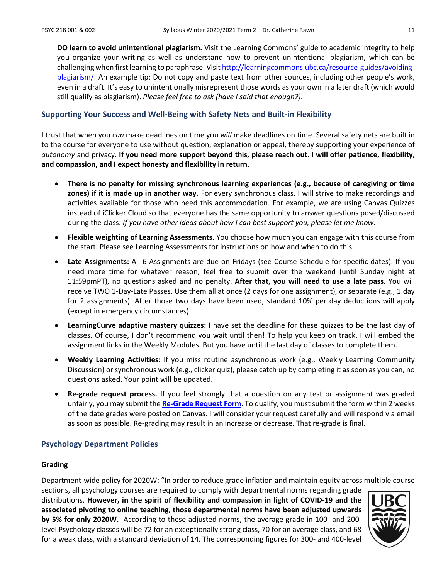**DO learn to avoid unintentional plagiarism.** Visit the Learning Commons' guide to academic integrity to help you organize your writing as well as understand how to prevent unintentional plagiarism, which can be challenging when first learning to paraphrase. Visi[t http://learningcommons.ubc.ca/resource-guides/avoiding](http://learningcommons.ubc.ca/resource-guides/avoiding-plagiarism/)[plagiarism/.](http://learningcommons.ubc.ca/resource-guides/avoiding-plagiarism/) An example tip: Do not copy and paste text from other sources, including other people's work, even in a draft. It's easy to unintentionally misrepresent those words as your own in a later draft (which would still qualify as plagiarism). *Please feel free to ask (have I said that enough?)*.

### **Supporting Your Success and Well-Being with Safety Nets and Built-in Flexibility**

I trust that when you *can* make deadlines on time you *will* make deadlines on time. Several safety nets are built in to the course for everyone to use without question, explanation or appeal, thereby supporting your experience of *autonomy* and privacy. **If you need more support beyond this, please reach out. I will offer patience, flexibility, and compassion, and I expect honesty and flexibility in return.**

- **There is no penalty for missing synchronous learning experiences (e.g., because of caregiving or time zones) if it is made up in another way.** For every synchronous class, I will strive to make recordings and activities available for those who need this accommodation. For example, we are using Canvas Quizzes instead of iClicker Cloud so that everyone has the same opportunity to answer questions posed/discussed during the class. *If you have other ideas about how I can best support you, please let me know.*
- **Flexible weighting of Learning Assessments.** You choose how much you can engage with this course from the start. Please see Learning Assessments for instructions on how and when to do this.
- **Late Assignments:** All 6 Assignments are due on Fridays (see Course Schedule for specific dates). If you need more time for whatever reason, feel free to submit over the weekend (until Sunday night at 11:59pmPT), no questions asked and no penalty. **After that, you will need to use a late pass.** You will receive TWO 1-Day-Late Passes**.** Use them all at once (2 days for one assignment), or separate (e.g., 1 day for 2 assignments). After those two days have been used, standard 10% per day deductions will apply (except in emergency circumstances).
- **LearningCurve adaptive mastery quizzes:** I have set the deadline for these quizzes to be the last day of classes. Of course, I don't recommend you wait until then! To help you keep on track, I will embed the assignment links in the Weekly Modules. But you have until the last day of classes to complete them.
- **Weekly Learning Activities:** If you miss routine asynchronous work (e.g., Weekly Learning Community Discussion) or synchronous work (e.g., clicker quiz), please catch up by completing it as soon as you can, no questions asked. Your point will be updated.
- **Re-grade request process.** If you feel strongly that a question on any test or assignment was graded unfairly, you may submit the **[Re-Grade Request Form](https://ubcarts.ca1.qualtrics.com/jfe/form/SV_a9m73Sk3N9ApUrP)**. To qualify, you must submit the form within 2 weeks of the date grades were posted on Canvas. I will consider your request carefully and will respond via email as soon as possible. Re-grading may result in an increase or decrease. That re-grade is final.

### **Psychology Department Policies**

#### **Grading**

Department-wide policy for 2020W: "In order to reduce grade inflation and maintain equity across multiple course

sections, all psychology courses are required to comply with departmental norms regarding grade distributions. **However, in the spirit of flexibility and compassion in light of COVID-19 and the associated pivoting to online teaching, those departmental norms have been adjusted upwards by 5% for only 2020W.** According to these adjusted norms, the average grade in 100- and 200 level Psychology classes will be 72 for an exceptionally strong class, 70 for an average class, and 68 for a weak class, with a standard deviation of 14. The corresponding figures for 300- and 400-level

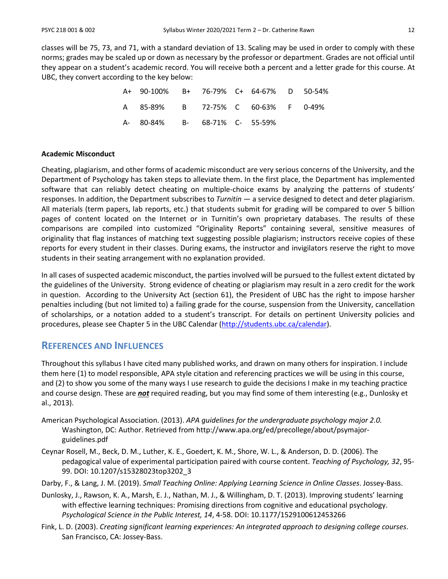classes will be 75, 73, and 71, with a standard deviation of 13. Scaling may be used in order to comply with these norms; grades may be scaled up or down as necessary by the professor or department. Grades are not official until they appear on a student's academic record. You will receive both a percent and a letter grade for this course. At UBC, they convert according to the key below:

| A+ 90-100% B+ 76-79% C+ 64-67% D 50-54% |  |  |  |
|-----------------------------------------|--|--|--|
| A 85-89% B 72-75% C 60-63% F 0-49%      |  |  |  |
| A- 80-84% B- 68-71% C- 55-59%           |  |  |  |

#### **Academic Misconduct**

Cheating, plagiarism, and other forms of academic misconduct are very serious concerns of the University, and the Department of Psychology has taken steps to alleviate them. In the first place, the Department has implemented software that can reliably detect cheating on multiple-choice exams by analyzing the patterns of students' responses. In addition, the Department subscribes to *Turnitin* — a service designed to detect and deter plagiarism. All materials (term papers, lab reports, etc.) that students submit for grading will be compared to over 5 billion pages of content located on the Internet or in Turnitin's own proprietary databases. The results of these comparisons are compiled into customized "Originality Reports" containing several, sensitive measures of originality that flag instances of matching text suggesting possible plagiarism; instructors receive copies of these reports for every student in their classes. During exams, the instructor and invigilators reserve the right to move students in their seating arrangement with no explanation provided.

In all cases of suspected academic misconduct, the parties involved will be pursued to the fullest extent dictated by the guidelines of the University. Strong evidence of cheating or plagiarism may result in a zero credit for the work in question. According to the University Act (section 61), the President of UBC has the right to impose harsher penalties including (but not limited to) a failing grade for the course, suspension from the University, cancellation of scholarships, or a notation added to a student's transcript. For details on pertinent University policies and procedures, please see Chapter 5 in the UBC Calendar [\(http://students.ubc.ca/calendar\)](http://students.ubc.ca/calendar).

## **REFERENCES AND INFLUENCES**

Throughout this syllabus I have cited many published works, and drawn on many others for inspiration. I include them here (1) to model responsible, APA style citation and referencing practices we will be using in this course, and (2) to show you some of the many ways I use research to guide the decisions I make in my teaching practice and course design. These are *not* required reading, but you may find some of them interesting (e.g., Dunlosky et al., 2013).

- American Psychological Association. (2013). *APA guidelines for the undergraduate psychology major 2.0.*  Washington, DC: Author. Retrieved from http://www.apa.org/ed/precollege/about/psymajorguidelines.pdf
- Ceynar Rosell, M., Beck, D. M., Luther, K. E., Goedert, K. M., Shore, W. L., & Anderson, D. D. (2006). The pedagogical value of experimental participation paired with course content. *Teaching of Psychology, 32*, 95- 99. DOI: 10.1207/s15328023top3202\_3
- Darby, F., & Lang, J. M. (2019). *Small Teaching Online: Applying Learning Science in Online Classes*. Jossey-Bass.
- Dunlosky, J., Rawson, K. A., Marsh, E. J., Nathan, M. J., & Willingham, D. T. (2013). Improving students' learning with effective learning techniques: Promising directions from cognitive and educational psychology. *Psychological Science in the Public Interest, 14*, 4-58. DOI: 10.1177/1529100612453266
- Fink, L. D. (2003). *Creating significant learning experiences: An integrated approach to designing college courses*. San Francisco, CA: Jossey-Bass.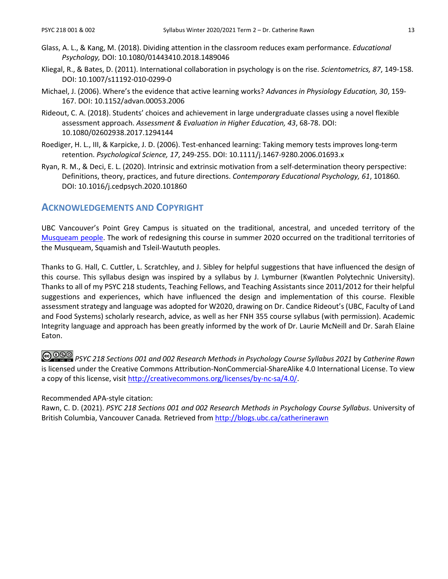- Glass, A. L., & Kang, M. (2018). Dividing attention in the classroom reduces exam performance. *Educational Psychology,* DOI: 10.1080/01443410.2018.1489046
- Kliegal, R., & Bates, D. (2011). International collaboration in psychology is on the rise. *Scientometrics, 87*, 149-158. DOI: 10.1007/s11192-010-0299-0
- Michael, J. (2006). Where's the evidence that active learning works? *Advances in Physiology Education, 30*, 159- 167. DOI: 10.1152/advan.00053.2006
- Rideout, C. A. (2018). Students' choices and achievement in large undergraduate classes using a novel flexible assessment approach. *Assessment & Evaluation in Higher Education, 43*, 68-78. DOI: 10.1080/02602938.2017.1294144
- Roediger, H. L., III, & Karpicke, J. D. (2006). Test-enhanced learning: Taking memory tests improves long-term retention. *Psychological Science, 17*, 249-255. DOI: 10.1111/j.1467-9280.2006.01693.x
- Ryan, R. M., & Deci, E. L. (2020). Intrinsic and extrinsic motivation from a self-determination theory perspective: Definitions, theory, practices, and future directions. *Contemporary Educational Psychology, 61*, 101860*.* DOI: 10.1016/j.cedpsych.2020.101860

## **ACKNOWLEDGEMENTS AND COPYRIGHT**

UBC Vancouver's Point Grey Campus is situated on the traditional, ancestral, and unceded territory of the [Musqueam people.](http://aboriginal.ubc.ca/community-youth/%20musqueam-and-ubc/) The work of redesigning this course in summer 2020 occurred on the traditional territories of the Musqueam, Squamish and Tsleil-Waututh peoples.

Thanks to G. Hall, C. Cuttler, L. Scratchley, and J. Sibley for helpful suggestions that have influenced the design of this course. This syllabus design was inspired by a syllabus by J. Lymburner (Kwantlen Polytechnic University). Thanks to all of my PSYC 218 students, Teaching Fellows, and Teaching Assistants since 2011/2012 for their helpful suggestions and experiences, which have influenced the design and implementation of this course. Flexible assessment strategy and language was adopted for W2020, drawing on Dr. Candice Rideout's (UBC, Faculty of Land and Food Systems) scholarly research, advice, as well as her FNH 355 course syllabus (with permission). Academic Integrity language and approach has been greatly informed by the work of Dr. Laurie McNeill and Dr. Sarah Elaine Eaton.

*PSYC 218 Sections 001 and 002 Research Methods in Psychology Course Syllabus 2021* by *Catherine Rawn* is licensed under the Creative Commons Attribution-NonCommercial-ShareAlike 4.0 International License. To view a copy of this license, visit [http://creativecommons.org/licenses/by-nc-sa/4.0/.](http://creativecommons.org/licenses/by-nc-sa/4.0/)

#### Recommended APA-style citation:

Rawn, C. D. (2021). *PSYC 218 Sections 001 and 002 Research Methods in Psychology Course Syllabus*. University of British Columbia, Vancouver Canada*.* Retrieved from<http://blogs.ubc.ca/catherinerawn>